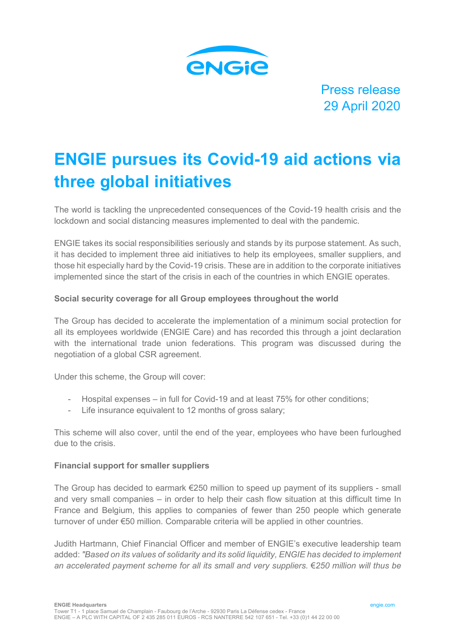

Press release 29 April 2020

# **ENGIE pursues its Covid-19 aid actions via three global initiatives**

The world is tackling the unprecedented consequences of the Covid-19 health crisis and the lockdown and social distancing measures implemented to deal with the pandemic.

ENGIE takes its social responsibilities seriously and stands by its purpose statement. As such, it has decided to implement three aid initiatives to help its employees, smaller suppliers, and those hit especially hard by the Covid-19 crisis. These are in addition to the corporate initiatives implemented since the start of the crisis in each of the countries in which ENGIE operates.

# **Social security coverage for all Group employees throughout the world**

The Group has decided to accelerate the implementation of a minimum social protection for all its employees worldwide (ENGIE Care) and has recorded this through a joint declaration with the international trade union federations. This program was discussed during the negotiation of a global CSR agreement.

Under this scheme, the Group will cover:

- Hospital expenses in full for Covid-19 and at least 75% for other conditions;
- Life insurance equivalent to 12 months of gross salary;

This scheme will also cover, until the end of the year, employees who have been furloughed due to the crisis.

### **Financial support for smaller suppliers**

The Group has decided to earmark €250 million to speed up payment of its suppliers - small and very small companies – in order to help their cash flow situation at this difficult time In France and Belgium, this applies to companies of fewer than 250 people which generate turnover of under €50 million. Comparable criteria will be applied in other countries.

Judith Hartmann, Chief Financial Officer and member of ENGIE's executive leadership team added: *"Based on its values of solidarity and its solid liquidity, ENGIE has decided to implement an accelerated payment scheme for all its small and very suppliers.* €*250 million will thus be*